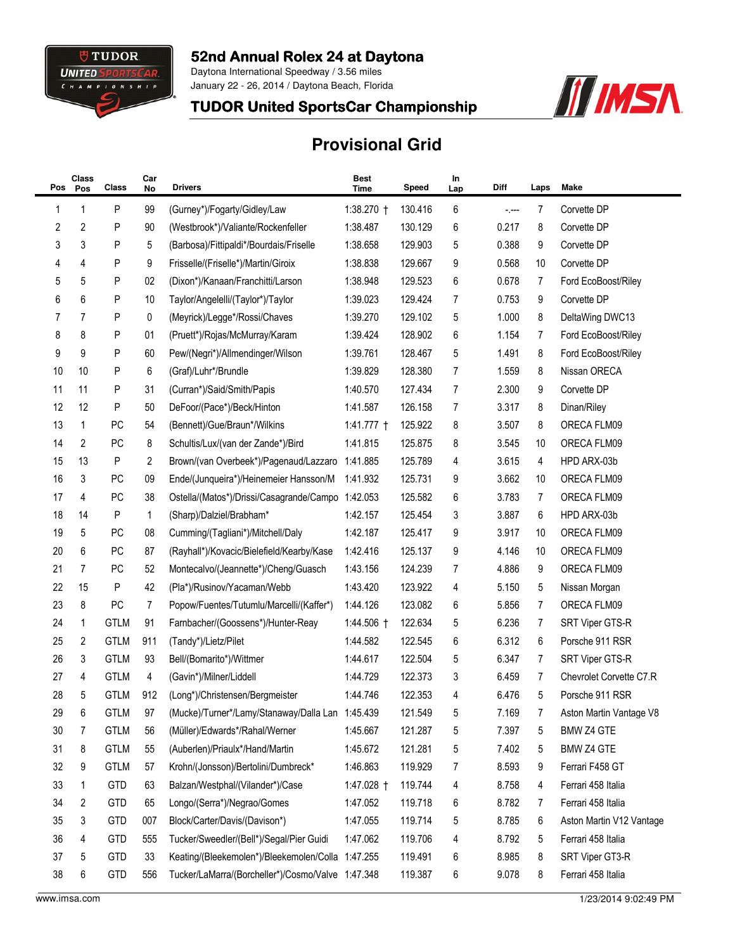

## 52nd Annual Rolex 24 at Daytona

Daytona International Speedway / 3.56 miles January 22 - 26, 2014 / Daytona Beach, Florida



## TUDOR United SportsCar Championship

## **Provisional Grid**

| Pos | Class<br>Pos | Class       | Car<br>No | <b>Drivers</b>                                    | <b>Best</b><br>Time | Speed   | In<br>Lap | Diff  | Laps | Make                     |
|-----|--------------|-------------|-----------|---------------------------------------------------|---------------------|---------|-----------|-------|------|--------------------------|
| 1   | 1            | P           | 99        | (Gurney*)/Fogarty/Gidley/Law                      | 1:38.270 †          | 130.416 | 6         | -.--- | 7    | Corvette DP              |
| 2   | 2            | P           | 90        | (Westbrook*)/Valiante/Rockenfeller                | 1:38.487            | 130.129 | 6         | 0.217 | 8    | Corvette DP              |
| 3   | 3            | P           | 5         | (Barbosa)/Fittipaldi*/Bourdais/Friselle           | 1:38.658            | 129.903 | 5         | 0.388 | 9    | Corvette DP              |
| 4   | 4            | P           | 9         | Frisselle/(Friselle*)/Martin/Giroix               | 1:38.838            | 129.667 | 9         | 0.568 | 10   | Corvette DP              |
| 5   | 5            | P           | 02        | (Dixon*)/Kanaan/Franchitti/Larson                 | 1:38.948            | 129.523 | 6         | 0.678 | 7    | Ford EcoBoost/Riley      |
| 6   | 6            | P           | 10        | Taylor/Angelelli/(Taylor*)/Taylor                 | 1:39.023            | 129.424 | 7         | 0.753 | 9    | Corvette DP              |
| 7   | 7            | P           | 0         | (Meyrick)/Legge*/Rossi/Chaves                     | 1:39.270            | 129.102 | 5         | 1.000 | 8    | DeltaWing DWC13          |
| 8   | 8            | P           | 01        | (Pruett*)/Rojas/McMurray/Karam                    | 1:39.424            | 128.902 | 6         | 1.154 | 7    | Ford EcoBoost/Riley      |
| 9   | 9            | P           | 60        | Pew/(Negri*)/Allmendinger/Wilson                  | 1:39.761            | 128.467 | 5         | 1.491 | 8    | Ford EcoBoost/Riley      |
| 10  | 10           | P           | 6         | (Graf)/Luhr*/Brundle                              | 1:39.829            | 128.380 | 7         | 1.559 | 8    | Nissan ORECA             |
| 11  | 11           | P           | 31        | (Curran*)/Said/Smith/Papis                        | 1:40.570            | 127.434 | 7         | 2.300 | 9    | Corvette DP              |
| 12  | 12           | P           | 50        | DeFoor/(Pace*)/Beck/Hinton                        | 1:41.587            | 126.158 | 7         | 3.317 | 8    | Dinan/Riley              |
| 13  | 1            | <b>PC</b>   | 54        | (Bennett)/Gue/Braun*/Wilkins                      | $1:41.777$ †        | 125.922 | 8         | 3.507 | 8    | ORECA FLM09              |
| 14  | 2            | PC          | 8         | Schultis/Lux/(van der Zande*)/Bird                | 1:41.815            | 125.875 | 8         | 3.545 | 10   | ORECA FLM09              |
| 15  | 13           | P           | 2         | Brown/(van Overbeek*)/Pagenaud/Lazzaro            | 1:41.885            | 125.789 | 4         | 3.615 | 4    | HPD ARX-03b              |
| 16  | 3            | PC          | 09        | Ende/(Junqueira*)/Heinemeier Hansson/M            | 1:41.932            | 125.731 | 9         | 3.662 | 10   | ORECA FLM09              |
| 17  | 4            | <b>PC</b>   | 38        | Ostella/(Matos*)/Drissi/Casagrande/Campo 1:42.053 |                     | 125.582 | 6         | 3.783 | 7    | ORECA FLM09              |
| 18  | 14           | P           | 1         | (Sharp)/Dalziel/Brabham*                          | 1:42.157            | 125.454 | 3         | 3.887 | 6    | HPD ARX-03b              |
| 19  | 5            | PC          | 08        | Cumming/(Tagliani*)/Mitchell/Daly                 | 1:42.187            | 125.417 | 9         | 3.917 | 10   | ORECA FLM09              |
| 20  | 6            | PC          | 87        | (Rayhall*)/Kovacic/Bielefield/Kearby/Kase         | 1:42.416            | 125.137 | 9         | 4.146 | 10   | ORECA FLM09              |
| 21  | 7            | PC          | 52        | Montecalvo/(Jeannette*)/Cheng/Guasch              | 1:43.156            | 124.239 | 7         | 4.886 | 9    | ORECA FLM09              |
| 22  | 15           | P           | 42        | (Pla*)/Rusinov/Yacaman/Webb                       | 1:43.420            | 123.922 | 4         | 5.150 | 5    | Nissan Morgan            |
| 23  | 8            | PC          | 7         | Popow/Fuentes/Tutumlu/Marcelli/(Kaffer*)          | 1:44.126            | 123.082 | 6         | 5.856 | 7    | ORECA FLM09              |
| 24  | 1            | <b>GTLM</b> | 91        | Farnbacher/(Goossens*)/Hunter-Reay                | 1:44.506 †          | 122.634 | 5         | 6.236 | 7    | SRT Viper GTS-R          |
| 25  | 2            | <b>GTLM</b> | 911       | (Tandy*)/Lietz/Pilet                              | 1:44.582            | 122.545 | 6         | 6.312 | 6    | Porsche 911 RSR          |
| 26  | 3            | <b>GTLM</b> | 93        | Bell/(Bomarito*)/Wittmer                          | 1:44.617            | 122.504 | 5         | 6.347 | 7    | SRT Viper GTS-R          |
| 27  | 4            | <b>GTLM</b> | 4         | (Gavin*)/Milner/Liddell                           | 1:44.729            | 122.373 | 3         | 6.459 | 7    | Chevrolet Corvette C7.R  |
| 28  | 5            | <b>GTLM</b> | 912       | (Long*)/Christensen/Bergmeister                   | 1:44.746            | 122.353 | 4         | 6.476 | 5    | Porsche 911 RSR          |
| 29  | 6            | <b>GTLM</b> | 97        | (Mucke)/Turner*/Lamy/Stanaway/Dalla Lan 1:45.439  |                     | 121.549 | 5         | 7.169 | 7    | Aston Martin Vantage V8  |
| 30  | 7            | <b>GTLM</b> | 56        | (Müller)/Edwards*/Rahal/Werner                    | 1:45.667            | 121.287 | 5         | 7.397 | 5    | BMW Z4 GTE               |
| 31  | 8            | <b>GTLM</b> | 55        | (Auberlen)/Priaulx*/Hand/Martin                   | 1:45.672            | 121.281 | 5         | 7.402 | 5    | BMW Z4 GTE               |
| 32  | 9            | <b>GTLM</b> | 57        | Krohn/(Jonsson)/Bertolini/Dumbreck*               | 1:46.863            | 119.929 | 7         | 8.593 | 9    | Ferrari F458 GT          |
| 33  | 1            | GTD         | 63        | Balzan/Westphal/(Vilander*)/Case                  | 1:47.028 †          | 119.744 | 4         | 8.758 | 4    | Ferrari 458 Italia       |
| 34  | 2            | GTD         | 65        | Longo/(Serra*)/Negrao/Gomes                       | 1:47.052            | 119.718 | 6         | 8.782 | 7    | Ferrari 458 Italia       |
| 35  | 3            | <b>GTD</b>  | 007       | Block/Carter/Davis/(Davison*)                     | 1:47.055            | 119.714 | 5         | 8.785 | 6    | Aston Martin V12 Vantage |
| 36  | 4            | <b>GTD</b>  | 555       | Tucker/Sweedler/(Bell*)/Segal/Pier Guidi          | 1:47.062            | 119.706 | 4         | 8.792 | 5    | Ferrari 458 Italia       |
| 37  | 5            | <b>GTD</b>  | 33        | Keating/(Bleekemolen*)/Bleekemolen/Colla 1:47.255 |                     | 119.491 | 6         | 8.985 | 8    | SRT Viper GT3-R          |
| 38  | 6            | GTD         | 556       | Tucker/LaMarra/(Borcheller*)/Cosmo/Valve 1:47.348 |                     | 119.387 | 6         | 9.078 | 8    | Ferrari 458 Italia       |